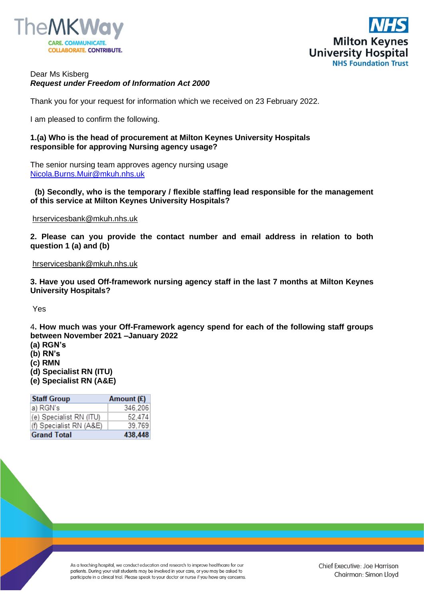



# Dear Ms Kisberg *Request under Freedom of Information Act 2000*

Thank you for your request for information which we received on 23 February 2022.

I am pleased to confirm the following.

# **1.(a) Who is the head of procurement at Milton Keynes University Hospitals responsible for approving Nursing agency usage?**

The senior nursing team approves agency nursing usage [Nicola.Burns.Muir@mkuh.nhs.uk](mailto:Nicola.Burns.Muir@mkuh.nhs.uk)

## **(b) Secondly, who is the temporary / flexible staffing lead responsible for the management of this service at Milton Keynes University Hospitals?**

[hrservicesbank@mkuh.nhs.uk](mailto:hrservicesbank@mkuh.nhs.uk)

**2. Please can you provide the contact number and email address in relation to both question 1 (a) and (b)**

#### [hrservicesbank@mkuh.nhs.uk](mailto:hrservicesbank@mkuh.nhs.uk)

**3. Have you used Off-framework nursing agency staff in the last 7 months at Milton Keynes University Hospitals?**

Yes

4**. How much was your Off-Framework agency spend for each of the following staff groups between November 2021 –January 2022** 

- **(a) RGN's**
- **(b) RN's**
- **(c) RMN**
- **(d) Specialist RN (ITU)**
- **(e) Specialist RN (A&E)**

| <b>Staff Group</b>      | Amount $(E)$ |
|-------------------------|--------------|
| a) RGN's                | 346,206      |
| (e) Specialist RN (ITU) | 52 4 7 4     |
| (f) Specialist RN (A&E) | 39,769       |
| <b>Grand Total</b>      | 438,448      |